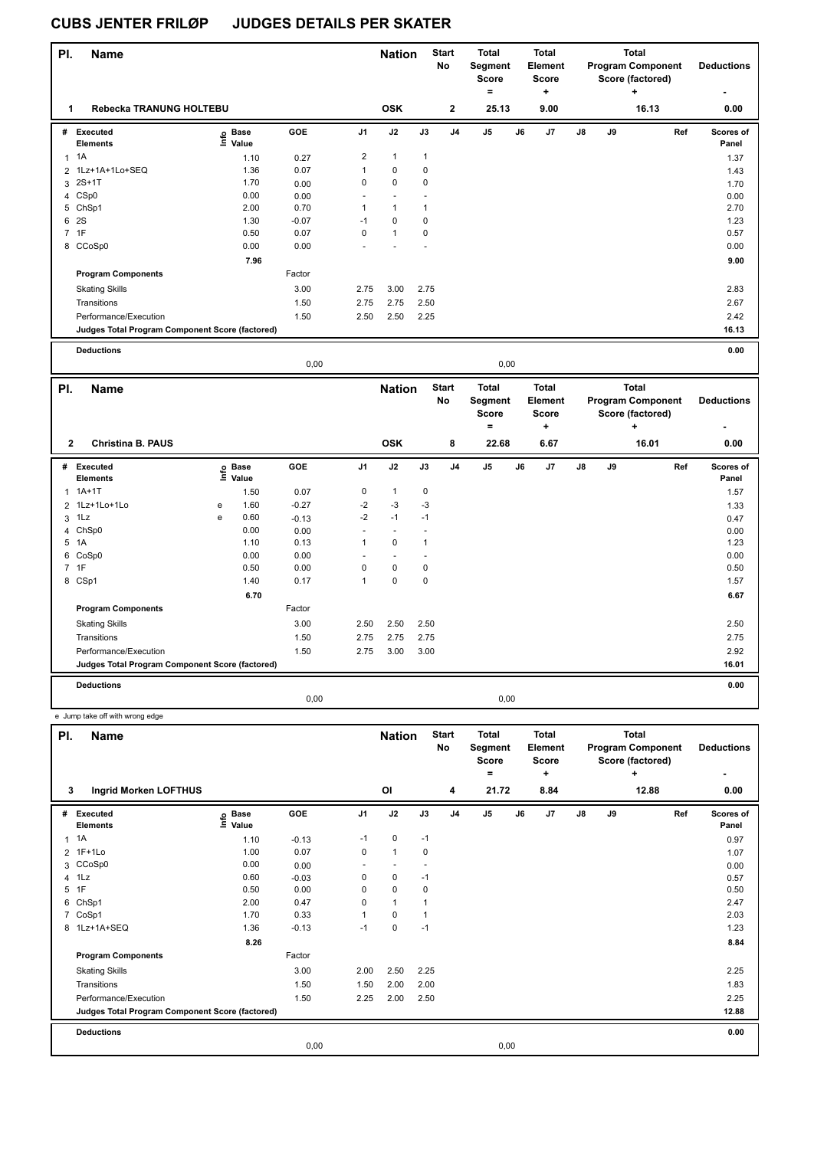| PI. | <b>Name</b>                                     |                                       |         |              | <b>Nation</b> |              | <b>Start</b><br><b>No</b> | <b>Total</b><br>Segment<br><b>Score</b><br>= |    | <b>Total</b><br><b>Element</b><br>Score      |    |    | <b>Total</b><br><b>Program Component</b><br>Score (factored)      | <b>Deductions</b>         |
|-----|-------------------------------------------------|---------------------------------------|---------|--------------|---------------|--------------|---------------------------|----------------------------------------------|----|----------------------------------------------|----|----|-------------------------------------------------------------------|---------------------------|
| 1.  | Rebecka TRANUNG HOLTEBU                         |                                       |         |              | <b>OSK</b>    |              | $\mathbf{2}$              | 25.13                                        |    | ٠<br>9.00                                    |    |    | ٠<br>16.13                                                        | 0.00                      |
|     |                                                 |                                       |         |              |               |              |                           |                                              |    |                                              |    |    |                                                                   |                           |
| #   | Executed<br><b>Elements</b>                     | <b>Base</b><br>$\mathsf{Im}$<br>Value | GOE     | J1           | J2            | J3           | J <sub>4</sub>            | J <sub>5</sub>                               | J6 | J7                                           | J8 | J9 | Ref                                                               | <b>Scores of</b><br>Panel |
| 1   | 1A                                              | 1.10                                  | 0.27    | 2            | $\mathbf{1}$  | $\mathbf{1}$ |                           |                                              |    |                                              |    |    |                                                                   | 1.37                      |
| 2   | 1Lz+1A+1Lo+SEQ                                  | 1.36                                  | 0.07    | $\mathbf{1}$ | 0             | $\pmb{0}$    |                           |                                              |    |                                              |    |    |                                                                   | 1.43                      |
|     | $3.2S+1T$                                       | 1.70                                  | 0.00    | 0            | $\Omega$      | 0            |                           |                                              |    |                                              |    |    |                                                                   | 1.70                      |
|     | 4 CSp0                                          | 0.00                                  | 0.00    |              |               |              |                           |                                              |    |                                              |    |    |                                                                   | 0.00                      |
|     | 5 ChSp1                                         | 2.00                                  | 0.70    | $\mathbf{1}$ | $\mathbf{1}$  | $\mathbf{1}$ |                           |                                              |    |                                              |    |    |                                                                   | 2.70                      |
|     | 6 2S                                            | 1.30                                  | $-0.07$ | $-1$         | $\mathbf 0$   | $\pmb{0}$    |                           |                                              |    |                                              |    |    |                                                                   | 1.23                      |
|     | 7 1F                                            | 0.50                                  | 0.07    | $\mathbf 0$  | $\mathbf{1}$  | $\pmb{0}$    |                           |                                              |    |                                              |    |    |                                                                   | 0.57                      |
|     | 8 CCoSp0                                        | 0.00                                  | 0.00    |              |               |              |                           |                                              |    |                                              |    |    |                                                                   | 0.00                      |
|     |                                                 | 7.96                                  |         |              |               |              |                           |                                              |    |                                              |    |    |                                                                   | 9.00                      |
|     | <b>Program Components</b>                       |                                       | Factor  |              |               |              |                           |                                              |    |                                              |    |    |                                                                   |                           |
|     | <b>Skating Skills</b>                           |                                       | 3.00    | 2.75         | 3.00          | 2.75         |                           |                                              |    |                                              |    |    |                                                                   | 2.83                      |
|     | Transitions                                     |                                       | 1.50    | 2.75         | 2.75          | 2.50         |                           |                                              |    |                                              |    |    |                                                                   | 2.67                      |
|     | Performance/Execution                           |                                       | 1.50    | 2.50         | 2.50          | 2.25         |                           |                                              |    |                                              |    |    |                                                                   | 2.42                      |
|     | Judges Total Program Component Score (factored) |                                       |         |              |               |              |                           |                                              |    |                                              |    |    |                                                                   | 16.13                     |
|     | <b>Deductions</b>                               |                                       |         |              |               |              |                           |                                              |    |                                              |    |    |                                                                   | 0.00                      |
|     |                                                 |                                       | 0,00    |              |               |              |                           | 0,00                                         |    |                                              |    |    |                                                                   |                           |
| PI. | <b>Name</b>                                     |                                       |         |              | <b>Nation</b> |              | <b>Start</b><br>No        | <b>Total</b><br>Segment<br><b>Score</b><br>= |    | <b>Total</b><br>Element<br><b>Score</b><br>÷ |    |    | <b>Total</b><br><b>Program Component</b><br>Score (factored)<br>÷ | <b>Deductions</b>         |

| $\mathbf{2}$ | <b>Christina B. PAUS</b>                        |   |                   |            |                          | <b>OSK</b>  |      | 8              | 22.68 |    | 6.67 |               |    | 16.01 |     | 0.00               |
|--------------|-------------------------------------------------|---|-------------------|------------|--------------------------|-------------|------|----------------|-------|----|------|---------------|----|-------|-----|--------------------|
| #            | <b>Executed</b><br>Elements                     |   | e Base<br>⊆ Value | <b>GOE</b> | J <sub>1</sub>           | J2          | J3   | J <sub>4</sub> | J5    | J6 | J7   | $\mathsf{J}8$ | J9 |       | Ref | Scores of<br>Panel |
|              | $1.1A+1T$                                       |   | 1.50              | 0.07       | 0                        | 1           | 0    |                |       |    |      |               |    |       |     | 1.57               |
|              | 2 1Lz+1Lo+1Lo                                   | e | 1.60              | $-0.27$    | $-2$                     | $-3$        | $-3$ |                |       |    |      |               |    |       |     | 1.33               |
|              | $3$ 1 Lz                                        | e | 0.60              | $-0.13$    | $-2$                     | $-1$        | $-1$ |                |       |    |      |               |    |       |     | 0.47               |
|              | 4 ChSp0                                         |   | 0.00              | 0.00       |                          |             |      |                |       |    |      |               |    |       |     | 0.00               |
|              | 5 1A                                            |   | 1.10              | 0.13       |                          | $\mathbf 0$ |      |                |       |    |      |               |    |       |     | 1.23               |
|              | 6 CoSp0                                         |   | 0.00              | 0.00       | $\overline{\phantom{a}}$ |             |      |                |       |    |      |               |    |       |     | 0.00               |
|              | 7 1F                                            |   | 0.50              | 0.00       | 0                        | 0           | 0    |                |       |    |      |               |    |       |     | 0.50               |
|              | 8 CSp1                                          |   | 1.40              | 0.17       |                          | 0           | 0    |                |       |    |      |               |    |       |     | 1.57               |
|              |                                                 |   | 6.70              |            |                          |             |      |                |       |    |      |               |    |       |     | 6.67               |
|              | <b>Program Components</b>                       |   |                   | Factor     |                          |             |      |                |       |    |      |               |    |       |     |                    |
|              | <b>Skating Skills</b>                           |   |                   | 3.00       | 2.50                     | 2.50        | 2.50 |                |       |    |      |               |    |       |     | 2.50               |
|              | Transitions                                     |   |                   | 1.50       | 2.75                     | 2.75        | 2.75 |                |       |    |      |               |    |       |     | 2.75               |
|              | Performance/Execution                           |   |                   | 1.50       | 2.75                     | 3.00        | 3.00 |                |       |    |      |               |    |       |     | 2.92               |
|              | Judges Total Program Component Score (factored) |   |                   |            |                          |             |      |                |       |    |      |               |    |       |     | 16.01              |
|              | <b>Deductions</b>                               |   |                   |            |                          |             |      |                |       |    |      |               |    |       |     | 0.00               |
|              |                                                 |   |                   |            |                          |             | 0,00 |                |       |    |      |               |    |       |     |                    |

| PI.          | <b>Name</b>                                     |                              |         |                | <b>Nation</b>  |      | <b>Start</b><br>No | <b>Total</b><br>Segment<br><b>Score</b><br>۰ |    | <b>Total</b><br>Element<br><b>Score</b><br>٠ |    |    | <b>Total</b><br><b>Program Component</b><br>Score (factored)<br>÷ | <b>Deductions</b><br>٠ |
|--------------|-------------------------------------------------|------------------------------|---------|----------------|----------------|------|--------------------|----------------------------------------------|----|----------------------------------------------|----|----|-------------------------------------------------------------------|------------------------|
| 3            | <b>Ingrid Morken LOFTHUS</b>                    |                              |         |                | O <sub>l</sub> |      | 4                  | 21.72                                        |    | 8.84                                         |    |    | 12.88                                                             | 0.00                   |
| #            | Executed<br><b>Elements</b>                     | <b>Base</b><br>lnfo<br>Value | GOE     | J <sub>1</sub> | J2             | J3   | J <sub>4</sub>     | J5                                           | J6 | J7                                           | J8 | J9 | Ref                                                               | Scores of<br>Panel     |
| $\mathbf{1}$ | 1A                                              | 1.10                         | $-0.13$ | $-1$           | 0              | $-1$ |                    |                                              |    |                                              |    |    |                                                                   | 0.97                   |
|              | 2 1F+1Lo                                        | 1.00                         | 0.07    | 0              | 1              | 0    |                    |                                              |    |                                              |    |    |                                                                   | 1.07                   |
|              | 3 CCoSp0                                        | 0.00                         | 0.00    |                |                |      |                    |                                              |    |                                              |    |    |                                                                   | 0.00                   |
|              | 4 1Lz                                           | 0.60                         | $-0.03$ | 0              | 0              | $-1$ |                    |                                              |    |                                              |    |    |                                                                   | 0.57                   |
| 5            | 1F                                              | 0.50                         | 0.00    | 0              | 0              | 0    |                    |                                              |    |                                              |    |    |                                                                   | 0.50                   |
| 6            | ChSp1                                           | 2.00                         | 0.47    | 0              | 1              |      |                    |                                              |    |                                              |    |    |                                                                   | 2.47                   |
|              | 7 CoSp1                                         | 1.70                         | 0.33    | 1              | 0              |      |                    |                                              |    |                                              |    |    |                                                                   | 2.03                   |
|              | 8 1Lz+1A+SEQ                                    | 1.36                         | $-0.13$ | $-1$           | 0              | $-1$ |                    |                                              |    |                                              |    |    |                                                                   | 1.23                   |
|              |                                                 | 8.26                         |         |                |                |      |                    |                                              |    |                                              |    |    |                                                                   | 8.84                   |
|              | <b>Program Components</b>                       |                              | Factor  |                |                |      |                    |                                              |    |                                              |    |    |                                                                   |                        |
|              | <b>Skating Skills</b>                           |                              | 3.00    | 2.00           | 2.50           | 2.25 |                    |                                              |    |                                              |    |    |                                                                   | 2.25                   |
|              | Transitions                                     |                              | 1.50    | 1.50           | 2.00           | 2.00 |                    |                                              |    |                                              |    |    |                                                                   | 1.83                   |
|              | Performance/Execution                           |                              | 1.50    | 2.25           | 2.00           | 2.50 |                    |                                              |    |                                              |    |    |                                                                   | 2.25                   |
|              | Judges Total Program Component Score (factored) |                              |         |                |                |      |                    |                                              |    |                                              |    |    |                                                                   | 12.88                  |
|              | <b>Deductions</b>                               |                              |         |                |                |      |                    |                                              |    |                                              |    |    |                                                                   | 0.00                   |
|              |                                                 |                              | 0,00    |                |                |      |                    | 0,00                                         |    |                                              |    |    |                                                                   |                        |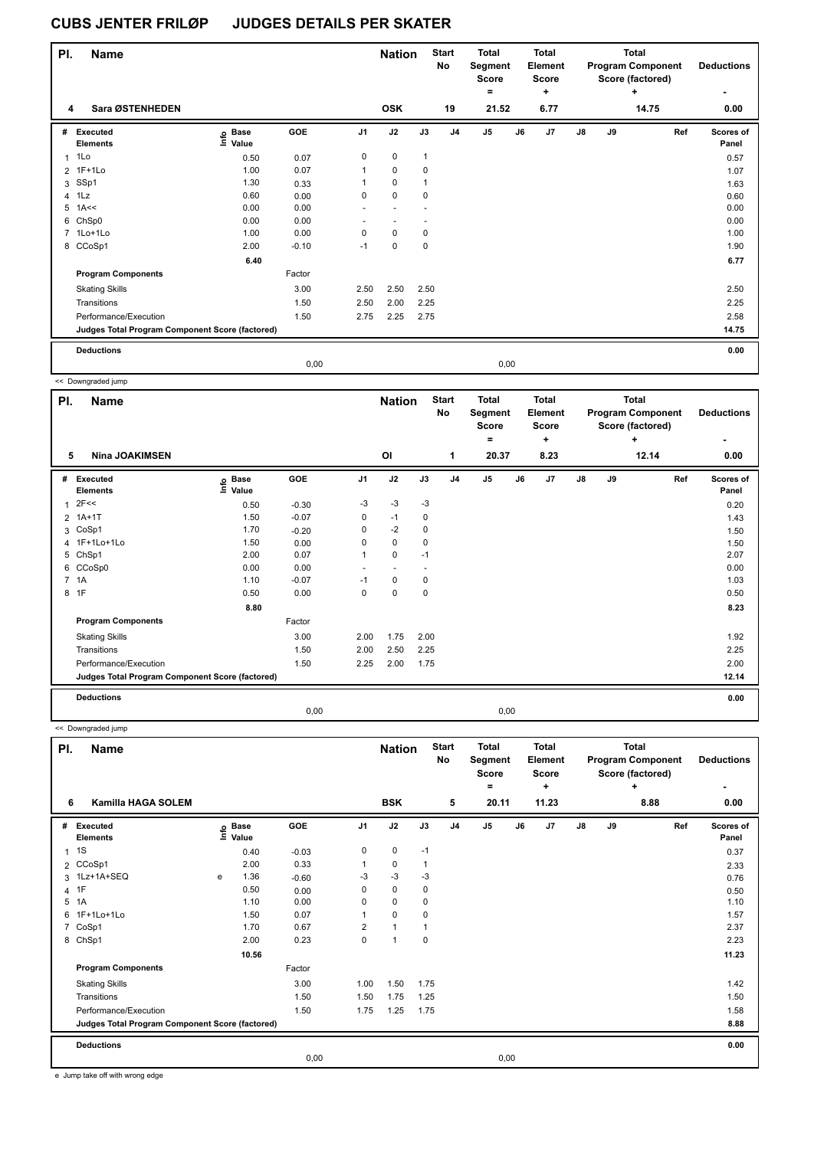| PI.            | <b>Name</b>                                     |                   |            |                | <b>Nation</b> |              | <b>Start</b><br>No | <b>Total</b><br>Segment<br><b>Score</b> |      | <b>Total</b><br>Element<br><b>Score</b> |               |    | Total<br><b>Program Component</b><br>Score (factored) | <b>Deductions</b>  |
|----------------|-------------------------------------------------|-------------------|------------|----------------|---------------|--------------|--------------------|-----------------------------------------|------|-----------------------------------------|---------------|----|-------------------------------------------------------|--------------------|
| 4              | Sara ØSTENHEDEN                                 |                   |            |                | <b>OSK</b>    |              | 19                 | $\equiv$<br>21.52                       |      | ٠<br>6.77                               |               |    | ٠<br>14.75                                            | 0.00               |
| #              | <b>Executed</b><br><b>Elements</b>              | e Base<br>E Value | <b>GOE</b> | J <sub>1</sub> | J2            | J3           | J <sub>4</sub>     | J <sub>5</sub>                          | J6   | J7                                      | $\mathsf{J}8$ | J9 | Ref                                                   | Scores of<br>Panel |
| 1              | 1Lo                                             | 0.50              | 0.07       | 0              | 0             | $\mathbf{1}$ |                    |                                         |      |                                         |               |    |                                                       | 0.57               |
|                | 2 1F+1Lo                                        | 1.00              | 0.07       | $\mathbf{1}$   | 0             | 0            |                    |                                         |      |                                         |               |    |                                                       | 1.07               |
|                | 3 SSp1                                          | 1.30              | 0.33       | 1              | $\mathbf 0$   | $\mathbf{1}$ |                    |                                         |      |                                         |               |    |                                                       | 1.63               |
| $\overline{4}$ | 1Lz                                             | 0.60              | 0.00       | 0              | $\mathbf 0$   | 0            |                    |                                         |      |                                         |               |    |                                                       | 0.60               |
|                | $5$ 1A<<                                        | 0.00              | 0.00       | ٠              | $\sim$        |              |                    |                                         |      |                                         |               |    |                                                       | 0.00               |
|                | 6 ChSp0                                         | 0.00              | 0.00       |                |               |              |                    |                                         |      |                                         |               |    |                                                       | 0.00               |
|                | 7 1Lo+1Lo                                       | 1.00              | 0.00       | $\Omega$       | $\mathbf 0$   | 0            |                    |                                         |      |                                         |               |    |                                                       | 1.00               |
|                | 8 CCoSp1                                        | 2.00              | $-0.10$    | $-1$           | $\mathbf 0$   | $\mathbf 0$  |                    |                                         |      |                                         |               |    |                                                       | 1.90               |
|                |                                                 | 6.40              |            |                |               |              |                    |                                         |      |                                         |               |    |                                                       | 6.77               |
|                | <b>Program Components</b>                       |                   | Factor     |                |               |              |                    |                                         |      |                                         |               |    |                                                       |                    |
|                | <b>Skating Skills</b>                           |                   | 3.00       | 2.50           | 2.50          | 2.50         |                    |                                         |      |                                         |               |    |                                                       | 2.50               |
|                | Transitions                                     |                   | 1.50       | 2.50           | 2.00          | 2.25         |                    |                                         |      |                                         |               |    |                                                       | 2.25               |
|                | Performance/Execution                           |                   | 1.50       | 2.75           | 2.25          | 2.75         |                    |                                         |      |                                         |               |    |                                                       | 2.58               |
|                | Judges Total Program Component Score (factored) |                   |            |                |               |              |                    |                                         |      |                                         |               |    |                                                       | 14.75              |
|                | <b>Deductions</b>                               |                   |            |                |               |              |                    |                                         |      |                                         |               |    |                                                       | 0.00               |
|                |                                                 |                   | 0.00       |                |               |              |                    |                                         | 0,00 |                                         |               |    |                                                       |                    |

<< Downgraded jump

| PI. | <b>Name</b>                                     |                   |            |      | <b>Nation</b>            |                          | <b>Start</b><br>No | <b>Total</b><br>Segment<br><b>Score</b><br>$=$ |    | <b>Total</b><br>Element<br><b>Score</b><br>$\ddot{}$ |               |    | <b>Total</b><br><b>Program Component</b><br>Score (factored)<br>٠ | <b>Deductions</b><br>٠    |
|-----|-------------------------------------------------|-------------------|------------|------|--------------------------|--------------------------|--------------------|------------------------------------------------|----|------------------------------------------------------|---------------|----|-------------------------------------------------------------------|---------------------------|
| 5   | <b>Nina JOAKIMSEN</b>                           |                   |            |      | OI                       |                          | $\mathbf{1}$       | 20.37                                          |    | 8.23                                                 |               |    | 12.14                                                             | 0.00                      |
| #   | Executed<br><b>Elements</b>                     | e Base<br>⊑ Value | <b>GOE</b> | J1   | J2                       | J3                       | J <sub>4</sub>     | J5                                             | J6 | J7                                                   | $\mathsf{J}8$ | J9 | Ref                                                               | <b>Scores of</b><br>Panel |
| 1   | 2F<<                                            | 0.50              | $-0.30$    | -3   | $-3$                     | $-3$                     |                    |                                                |    |                                                      |               |    |                                                                   | 0.20                      |
|     | 2 1A+1T                                         | 1.50              | $-0.07$    | 0    | $-1$                     | 0                        |                    |                                                |    |                                                      |               |    |                                                                   | 1.43                      |
| 3   | CoSp1                                           | 1.70              | $-0.20$    | 0    | $-2$                     | $\mathbf 0$              |                    |                                                |    |                                                      |               |    |                                                                   | 1.50                      |
|     | 4 1F+1Lo+1Lo                                    | 1.50              | 0.00       | 0    | $\mathbf 0$              | 0                        |                    |                                                |    |                                                      |               |    |                                                                   | 1.50                      |
| 5   | ChSp1                                           | 2.00              | 0.07       | 1    | $\mathbf 0$              | $-1$                     |                    |                                                |    |                                                      |               |    |                                                                   | 2.07                      |
|     | 6 CCoSp0                                        | 0.00              | 0.00       | ٠    | $\overline{\phantom{a}}$ | $\overline{\phantom{a}}$ |                    |                                                |    |                                                      |               |    |                                                                   | 0.00                      |
|     | 7 1A                                            | 1.10              | $-0.07$    | $-1$ | 0                        | 0                        |                    |                                                |    |                                                      |               |    |                                                                   | 1.03                      |
| 8   | 1F                                              | 0.50              | 0.00       | 0    | $\mathbf 0$              | $\mathbf 0$              |                    |                                                |    |                                                      |               |    |                                                                   | 0.50                      |
|     |                                                 | 8.80              |            |      |                          |                          |                    |                                                |    |                                                      |               |    |                                                                   | 8.23                      |
|     | <b>Program Components</b>                       |                   | Factor     |      |                          |                          |                    |                                                |    |                                                      |               |    |                                                                   |                           |
|     | <b>Skating Skills</b>                           |                   | 3.00       | 2.00 | 1.75                     | 2.00                     |                    |                                                |    |                                                      |               |    |                                                                   | 1.92                      |
|     | Transitions                                     |                   | 1.50       | 2.00 | 2.50                     | 2.25                     |                    |                                                |    |                                                      |               |    |                                                                   | 2.25                      |
|     | Performance/Execution                           |                   | 1.50       | 2.25 | 2.00                     | 1.75                     |                    |                                                |    |                                                      |               |    |                                                                   | 2.00                      |
|     | Judges Total Program Component Score (factored) |                   |            |      |                          |                          |                    |                                                |    |                                                      |               |    |                                                                   | 12.14                     |
|     | <b>Deductions</b>                               |                   |            |      |                          |                          |                    |                                                |    |                                                      |               |    |                                                                   | 0.00                      |
|     |                                                 |                   | 0,00       |      |                          |                          |                    | 0,00                                           |    |                                                      |               |    |                                                                   |                           |

<< Downgraded jump

| PI.            | Name                                            |   |                                  |         |                | <b>Nation</b> |             | <b>Start</b><br>No | <b>Total</b><br>Segment<br><b>Score</b><br>۰ |      | <b>Total</b><br>Element<br><b>Score</b><br>÷ |               |    | <b>Total</b><br><b>Program Component</b><br>Score (factored)<br>÷ | <b>Deductions</b><br>۰ |
|----------------|-------------------------------------------------|---|----------------------------------|---------|----------------|---------------|-------------|--------------------|----------------------------------------------|------|----------------------------------------------|---------------|----|-------------------------------------------------------------------|------------------------|
| 6              | <b>Kamilla HAGA SOLEM</b>                       |   |                                  |         |                | <b>BSK</b>    |             | 5                  | 20.11                                        |      | 11.23                                        |               |    | 8.88                                                              | 0.00                   |
| #              | Executed<br><b>Elements</b>                     |   | <b>Base</b><br>e Base<br>⊑ Value | GOE     | J <sub>1</sub> | J2            | J3          | J <sub>4</sub>     | J5                                           | J6   | J7                                           | $\mathsf{J}8$ | J9 | Ref                                                               | Scores of<br>Panel     |
| 1              | 1S                                              |   | 0.40                             | $-0.03$ | 0              | 0             | $-1$        |                    |                                              |      |                                              |               |    |                                                                   | 0.37                   |
|                | 2 CCoSp1                                        |   | 2.00                             | 0.33    | 1              | $\mathbf 0$   | 1           |                    |                                              |      |                                              |               |    |                                                                   | 2.33                   |
|                | 3 1Lz+1A+SEQ                                    | e | 1.36                             | $-0.60$ | -3             | $-3$          | $-3$        |                    |                                              |      |                                              |               |    |                                                                   | 0.76                   |
| $\overline{4}$ | 1F                                              |   | 0.50                             | 0.00    | $\Omega$       | $\mathbf 0$   | 0           |                    |                                              |      |                                              |               |    |                                                                   | 0.50                   |
| 5              | 1A                                              |   | 1.10                             | 0.00    | 0              | $\mathbf 0$   | 0           |                    |                                              |      |                                              |               |    |                                                                   | 1.10                   |
| 6              | 1F+1Lo+1Lo                                      |   | 1.50                             | 0.07    | 1              | $\mathbf 0$   | 0           |                    |                                              |      |                                              |               |    |                                                                   | 1.57                   |
| 7              | CoSp1                                           |   | 1.70                             | 0.67    | $\overline{2}$ | $\mathbf{1}$  |             |                    |                                              |      |                                              |               |    |                                                                   | 2.37                   |
|                | 8 ChSp1                                         |   | 2.00                             | 0.23    | 0              | 1             | $\mathbf 0$ |                    |                                              |      |                                              |               |    |                                                                   | 2.23                   |
|                |                                                 |   | 10.56                            |         |                |               |             |                    |                                              |      |                                              |               |    |                                                                   | 11.23                  |
|                | <b>Program Components</b>                       |   |                                  | Factor  |                |               |             |                    |                                              |      |                                              |               |    |                                                                   |                        |
|                | <b>Skating Skills</b>                           |   |                                  | 3.00    | 1.00           | 1.50          | 1.75        |                    |                                              |      |                                              |               |    |                                                                   | 1.42                   |
|                | Transitions                                     |   |                                  | 1.50    | 1.50           | 1.75          | 1.25        |                    |                                              |      |                                              |               |    |                                                                   | 1.50                   |
|                | Performance/Execution                           |   |                                  | 1.50    | 1.75           | 1.25          | 1.75        |                    |                                              |      |                                              |               |    |                                                                   | 1.58                   |
|                | Judges Total Program Component Score (factored) |   |                                  |         |                |               |             |                    |                                              |      |                                              |               |    |                                                                   | 8.88                   |
|                | <b>Deductions</b>                               |   |                                  |         |                |               |             |                    |                                              |      |                                              |               |    |                                                                   | 0.00                   |
|                |                                                 |   |                                  | 0,00    |                |               |             |                    |                                              | 0,00 |                                              |               |    |                                                                   |                        |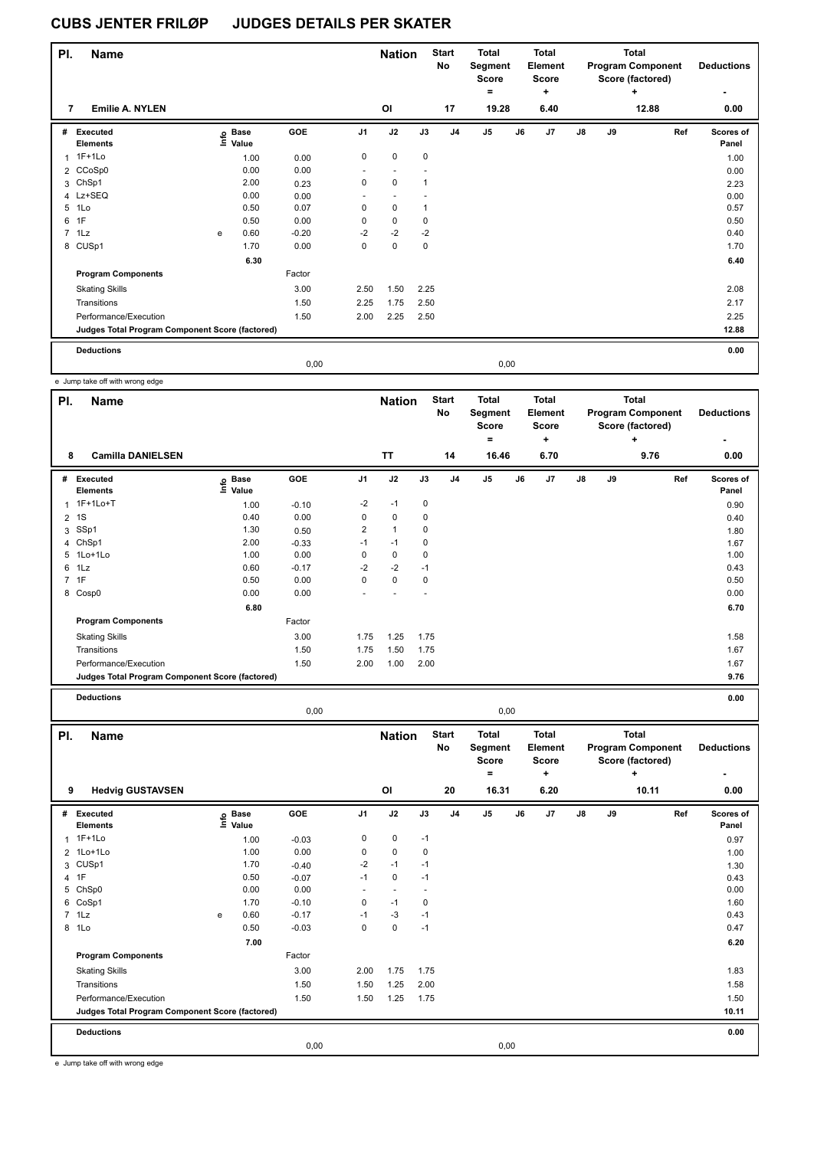| PI. | <b>Name</b>                                     |   |                                 |         |                | <b>Nation</b> |              | <b>Start</b><br>No | <b>Total</b><br>Segment<br><b>Score</b><br>$\equiv$ |      | <b>Total</b><br>Element<br><b>Score</b><br>$\ddot{}$ |               |    | Total<br><b>Program Component</b><br>Score (factored)<br>÷ | <b>Deductions</b><br>$\blacksquare$ |
|-----|-------------------------------------------------|---|---------------------------------|---------|----------------|---------------|--------------|--------------------|-----------------------------------------------------|------|------------------------------------------------------|---------------|----|------------------------------------------------------------|-------------------------------------|
| 7   | <b>Emilie A. NYLEN</b>                          |   |                                 |         |                | ΟI            |              | 17                 | 19.28                                               |      | 6.40                                                 |               |    | 12.88                                                      | 0.00                                |
| #   | Executed<br><b>Elements</b>                     |   | $\overset{\circ}{\equiv}$ Value | GOE     | J <sub>1</sub> | J2            | J3           | J <sub>4</sub>     | J5                                                  | J6   | J <sub>7</sub>                                       | $\mathsf{J}8$ | J9 | Ref                                                        | Scores of<br>Panel                  |
| 1   | $1F+1Lo$                                        |   | 1.00                            | 0.00    | $\mathbf 0$    | 0             | $\mathbf 0$  |                    |                                                     |      |                                                      |               |    |                                                            | 1.00                                |
|     | 2 CCoSp0                                        |   | 0.00                            | 0.00    |                |               |              |                    |                                                     |      |                                                      |               |    |                                                            | 0.00                                |
|     | 3 ChSp1                                         |   | 2.00                            | 0.23    | $\mathbf 0$    | $\mathbf 0$   | $\mathbf{1}$ |                    |                                                     |      |                                                      |               |    |                                                            | 2.23                                |
|     | 4 Lz+SEQ                                        |   | 0.00                            | 0.00    | ٠              | $\sim$        |              |                    |                                                     |      |                                                      |               |    |                                                            | 0.00                                |
| 5   | 1Lo                                             |   | 0.50                            | 0.07    | 0              | $\mathbf 0$   |              |                    |                                                     |      |                                                      |               |    |                                                            | 0.57                                |
| 6   | 1F                                              |   | 0.50                            | 0.00    | 0              | $\mathbf 0$   | 0            |                    |                                                     |      |                                                      |               |    |                                                            | 0.50                                |
|     | $7$ 1 Lz                                        | e | 0.60                            | $-0.20$ | $-2$           | $-2$          | $-2$         |                    |                                                     |      |                                                      |               |    |                                                            | 0.40                                |
|     | 8 CUSp1                                         |   | 1.70                            | 0.00    | 0              | $\mathbf 0$   | $\mathbf 0$  |                    |                                                     |      |                                                      |               |    |                                                            | 1.70                                |
|     |                                                 |   | 6.30                            |         |                |               |              |                    |                                                     |      |                                                      |               |    |                                                            | 6.40                                |
|     | <b>Program Components</b>                       |   |                                 | Factor  |                |               |              |                    |                                                     |      |                                                      |               |    |                                                            |                                     |
|     | <b>Skating Skills</b>                           |   |                                 | 3.00    | 2.50           | 1.50          | 2.25         |                    |                                                     |      |                                                      |               |    |                                                            | 2.08                                |
|     | Transitions                                     |   |                                 | 1.50    | 2.25           | 1.75          | 2.50         |                    |                                                     |      |                                                      |               |    |                                                            | 2.17                                |
|     | Performance/Execution                           |   |                                 | 1.50    | 2.00           | 2.25          | 2.50         |                    |                                                     |      |                                                      |               |    |                                                            | 2.25                                |
|     | Judges Total Program Component Score (factored) |   |                                 |         |                |               |              |                    |                                                     |      |                                                      |               |    |                                                            | 12.88                               |
|     | <b>Deductions</b>                               |   |                                 |         |                |               |              |                    |                                                     |      |                                                      |               |    |                                                            | 0.00                                |
|     |                                                 |   |                                 | 0.00    |                |               |              |                    |                                                     | 0,00 |                                                      |               |    |                                                            |                                     |

e Jump take off with wrong edge

| PI.            | <b>Name</b>                                     |                           |         |                | <b>Nation</b> |      | <b>Start</b><br>No | <b>Total</b><br>Segment<br><b>Score</b> |    | <b>Total</b><br>Element<br><b>Score</b> |               |    | <b>Total</b><br><b>Program Component</b><br>Score (factored) | <b>Deductions</b>  |
|----------------|-------------------------------------------------|---------------------------|---------|----------------|---------------|------|--------------------|-----------------------------------------|----|-----------------------------------------|---------------|----|--------------------------------------------------------------|--------------------|
| 8              | <b>Camilla DANIELSEN</b>                        |                           |         |                | <b>TT</b>     |      | 14                 | ۰<br>16.46                              |    | ÷<br>6.70                               |               |    | $\ddot{}$<br>9.76                                            | 0.00               |
|                |                                                 |                           |         |                |               |      |                    |                                         |    |                                         |               |    |                                                              |                    |
| #              | <b>Executed</b><br><b>Elements</b>              | Base<br>e Base<br>⊑ Value | GOE     | J <sub>1</sub> | J2            | J3   | J <sub>4</sub>     | J5                                      | J6 | J7                                      | $\mathsf{J}8$ | J9 | Ref                                                          | Scores of<br>Panel |
| $\overline{1}$ | 1F+1Lo+T                                        | 1.00                      | $-0.10$ | $-2$           | $-1$          | 0    |                    |                                         |    |                                         |               |    |                                                              | 0.90               |
| 2              | 1S                                              | 0.40                      | 0.00    | 0              | 0             | 0    |                    |                                         |    |                                         |               |    |                                                              | 0.40               |
| 3              | SSp1                                            | 1.30                      | 0.50    | $\overline{2}$ | $\mathbf{1}$  | 0    |                    |                                         |    |                                         |               |    |                                                              | 1.80               |
|                | 4 ChSp1                                         | 2.00                      | $-0.33$ | $-1$           | $-1$          | 0    |                    |                                         |    |                                         |               |    |                                                              | 1.67               |
|                | 5 1Lo+1Lo                                       | 1.00                      | 0.00    | 0              | 0             | 0    |                    |                                         |    |                                         |               |    |                                                              | 1.00               |
| 6              | 1Lz                                             | 0.60                      | $-0.17$ | $-2$           | $-2$          | $-1$ |                    |                                         |    |                                         |               |    |                                                              | 0.43               |
|                | 7 1F                                            | 0.50                      | 0.00    | 0              | 0             | 0    |                    |                                         |    |                                         |               |    |                                                              | 0.50               |
|                | 8 Cosp0                                         | 0.00                      | 0.00    |                |               |      |                    |                                         |    |                                         |               |    |                                                              | 0.00               |
|                |                                                 | 6.80                      |         |                |               |      |                    |                                         |    |                                         |               |    |                                                              | 6.70               |
|                | <b>Program Components</b>                       |                           | Factor  |                |               |      |                    |                                         |    |                                         |               |    |                                                              |                    |
|                | <b>Skating Skills</b>                           |                           | 3.00    | 1.75           | 1.25          | 1.75 |                    |                                         |    |                                         |               |    |                                                              | 1.58               |
|                | Transitions                                     |                           | 1.50    | 1.75           | 1.50          | 1.75 |                    |                                         |    |                                         |               |    |                                                              | 1.67               |
|                | Performance/Execution                           |                           | 1.50    | 2.00           | 1.00          | 2.00 |                    |                                         |    |                                         |               |    |                                                              | 1.67               |
|                | Judges Total Program Component Score (factored) |                           |         |                |               |      |                    |                                         |    |                                         |               |    |                                                              | 9.76               |
|                | <b>Deductions</b>                               |                           |         |                |               |      |                    |                                         |    |                                         |               |    |                                                              | 0.00               |

0,00 0,00

| PI. | <b>Name</b>                                     |      |                      |         |                | <b>Nation</b> |      | <b>Start</b><br>No | <b>Total</b><br>Segment<br><b>Score</b><br>$=$ |      | <b>Total</b><br>Element<br><b>Score</b><br>٠ |               |    | <b>Total</b><br><b>Program Component</b><br>Score (factored)<br>÷ | <b>Deductions</b>  |
|-----|-------------------------------------------------|------|----------------------|---------|----------------|---------------|------|--------------------|------------------------------------------------|------|----------------------------------------------|---------------|----|-------------------------------------------------------------------|--------------------|
| 9   | <b>Hedvig GUSTAVSEN</b>                         |      |                      |         |                | OI            |      | 20                 | 16.31                                          |      | 6.20                                         |               |    | 10.11                                                             | 0.00               |
| #   | Executed<br><b>Elements</b>                     | lnfo | <b>Base</b><br>Value | GOE     | J <sub>1</sub> | J2            | J3   | J <sub>4</sub>     | J <sub>5</sub>                                 | J6   | J7                                           | $\mathsf{J}8$ | J9 | Ref                                                               | Scores of<br>Panel |
|     | 1 1F+1Lo                                        |      | 1.00                 | $-0.03$ | 0              | 0             | $-1$ |                    |                                                |      |                                              |               |    |                                                                   | 0.97               |
|     | 2 1Lo+1Lo                                       |      | 1.00                 | 0.00    | 0              | $\mathbf 0$   | 0    |                    |                                                |      |                                              |               |    |                                                                   | 1.00               |
| 3   | CUSp1                                           |      | 1.70                 | $-0.40$ | $-2$           | $-1$          | $-1$ |                    |                                                |      |                                              |               |    |                                                                   | 1.30               |
|     | 4 1F                                            |      | 0.50                 | $-0.07$ | $-1$           | $\mathbf 0$   | $-1$ |                    |                                                |      |                                              |               |    |                                                                   | 0.43               |
| 5   | ChSp0                                           |      | 0.00                 | 0.00    | ٠              |               |      |                    |                                                |      |                                              |               |    |                                                                   | 0.00               |
| 6   | CoSp1                                           |      | 1.70                 | $-0.10$ | 0              | $-1$          | 0    |                    |                                                |      |                                              |               |    |                                                                   | 1.60               |
|     | $7$ 1 Lz                                        | e    | 0.60                 | $-0.17$ | $-1$           | $-3$          | $-1$ |                    |                                                |      |                                              |               |    |                                                                   | 0.43               |
| 8   | 1Lo                                             |      | 0.50                 | $-0.03$ | 0              | $\mathbf 0$   | $-1$ |                    |                                                |      |                                              |               |    |                                                                   | 0.47               |
|     |                                                 |      | 7.00                 |         |                |               |      |                    |                                                |      |                                              |               |    |                                                                   | 6.20               |
|     | <b>Program Components</b>                       |      |                      | Factor  |                |               |      |                    |                                                |      |                                              |               |    |                                                                   |                    |
|     | <b>Skating Skills</b>                           |      |                      | 3.00    | 2.00           | 1.75          | 1.75 |                    |                                                |      |                                              |               |    |                                                                   | 1.83               |
|     | Transitions                                     |      |                      | 1.50    | 1.50           | 1.25          | 2.00 |                    |                                                |      |                                              |               |    |                                                                   | 1.58               |
|     | Performance/Execution                           |      |                      | 1.50    | 1.50           | 1.25          | 1.75 |                    |                                                |      |                                              |               |    |                                                                   | 1.50               |
|     | Judges Total Program Component Score (factored) |      |                      |         |                |               |      |                    |                                                |      |                                              |               |    |                                                                   | 10.11              |
|     | <b>Deductions</b>                               |      |                      |         |                |               |      |                    |                                                |      |                                              |               |    |                                                                   | 0.00               |
|     |                                                 |      |                      | 0,00    |                |               |      |                    |                                                | 0,00 |                                              |               |    |                                                                   |                    |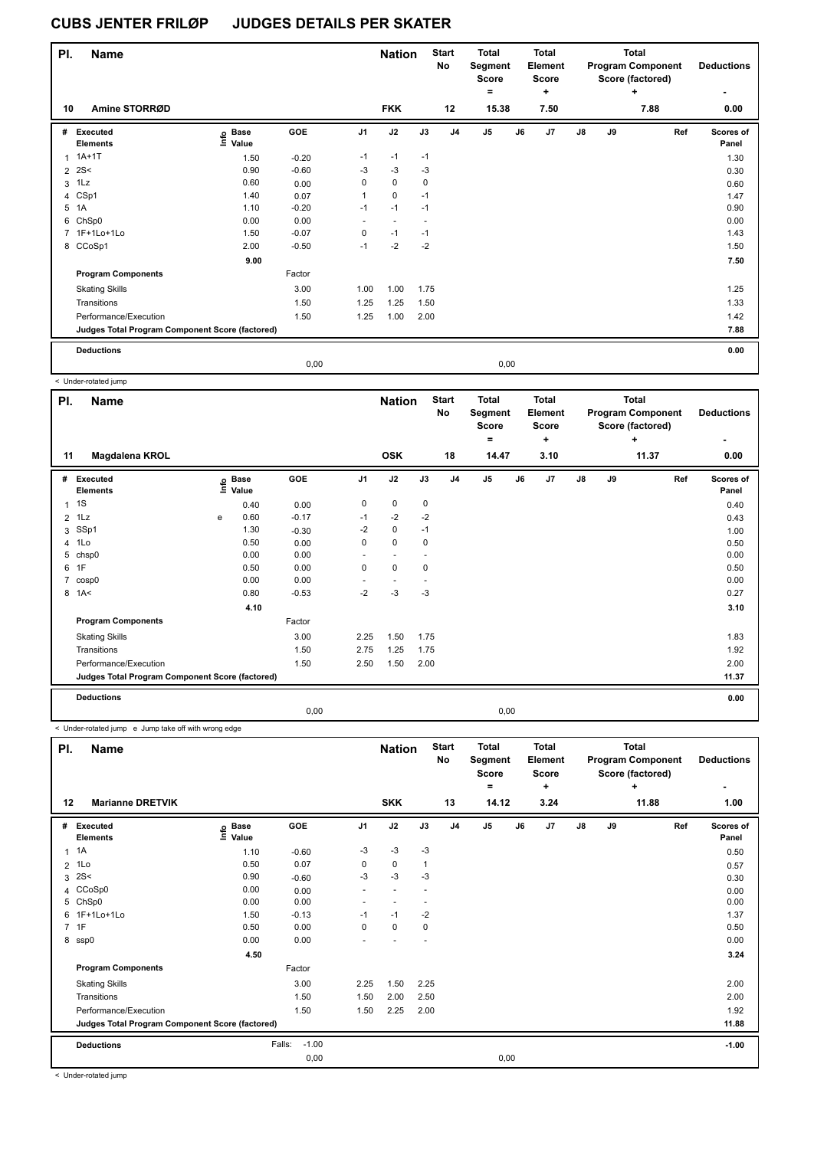| PI.            | <b>Name</b>                                     |                            |         |                | <b>Nation</b>            |             | <b>Start</b><br>No | <b>Total</b><br>Segment<br><b>Score</b><br>٠ |    | <b>Total</b><br>Element<br><b>Score</b><br>٠ |    |    | Total<br><b>Program Component</b><br>Score (factored)<br>÷ | <b>Deductions</b>  |
|----------------|-------------------------------------------------|----------------------------|---------|----------------|--------------------------|-------------|--------------------|----------------------------------------------|----|----------------------------------------------|----|----|------------------------------------------------------------|--------------------|
| 10             | Amine STORRØD                                   |                            |         |                | <b>FKK</b>               |             | 12                 | 15.38                                        |    | 7.50                                         |    |    | 7.88                                                       | 0.00               |
| #              | Executed<br><b>Elements</b>                     | e Base<br>E Value<br>Value | GOE     | J <sub>1</sub> | J2                       | J3          | J <sub>4</sub>     | J5                                           | J6 | J <sub>7</sub>                               | J8 | J9 | Ref                                                        | Scores of<br>Panel |
| 1              | $1A+1T$                                         | 1.50                       | $-0.20$ | $-1$           | $-1$                     | $-1$        |                    |                                              |    |                                              |    |    |                                                            | 1.30               |
| $\overline{2}$ | 2S<                                             | 0.90                       | $-0.60$ | $-3$           | $-3$                     | $-3$        |                    |                                              |    |                                              |    |    |                                                            | 0.30               |
| 3              | 1Lz                                             | 0.60                       | 0.00    | 0              | $\mathbf 0$              | $\mathbf 0$ |                    |                                              |    |                                              |    |    |                                                            | 0.60               |
|                | 4 CSp1                                          | 1.40                       | 0.07    | 1              | $\mathbf 0$              | $-1$        |                    |                                              |    |                                              |    |    |                                                            | 1.47               |
|                | 5 1A                                            | 1.10                       | $-0.20$ | $-1$           | $-1$                     | $-1$        |                    |                                              |    |                                              |    |    |                                                            | 0.90               |
|                | 6 ChSp0                                         | 0.00                       | 0.00    | $\sim$         | $\overline{\phantom{a}}$ |             |                    |                                              |    |                                              |    |    |                                                            | 0.00               |
|                | 7 1F+1Lo+1Lo                                    | 1.50                       | $-0.07$ | 0              | $-1$                     | $-1$        |                    |                                              |    |                                              |    |    |                                                            | 1.43               |
|                | 8 CCoSp1                                        | 2.00                       | $-0.50$ | $-1$           | $-2$                     | $-2$        |                    |                                              |    |                                              |    |    |                                                            | 1.50               |
|                |                                                 | 9.00                       |         |                |                          |             |                    |                                              |    |                                              |    |    |                                                            | 7.50               |
|                | <b>Program Components</b>                       |                            | Factor  |                |                          |             |                    |                                              |    |                                              |    |    |                                                            |                    |
|                | <b>Skating Skills</b>                           |                            | 3.00    | 1.00           | 1.00                     | 1.75        |                    |                                              |    |                                              |    |    |                                                            | 1.25               |
|                | Transitions                                     |                            | 1.50    | 1.25           | 1.25                     | 1.50        |                    |                                              |    |                                              |    |    |                                                            | 1.33               |
|                | Performance/Execution                           |                            | 1.50    | 1.25           | 1.00                     | 2.00        |                    |                                              |    |                                              |    |    |                                                            | 1.42               |
|                | Judges Total Program Component Score (factored) |                            |         |                |                          |             |                    |                                              |    |                                              |    |    |                                                            | 7.88               |
|                | <b>Deductions</b>                               |                            |         |                |                          |             |                    |                                              |    |                                              |    |    |                                                            | 0.00               |
|                |                                                 |                            | 0,00    |                |                          |             |                    | 0,00                                         |    |                                              |    |    |                                                            |                    |

 < Under-rotated jump **Name Deductions - Nation Total Pl. Start Segment Score = Total Element Score + Total Program Component Score (factored) + No # Executed Elements Base Value GOE J1 J2 J3 J4 J5 J6 J7 J8 J9 Scores of Panel** 1 0.40 0.00 0 0 0 **Ref**  1S 0.40 **Info 11 Magdalena KROL OSK 18 14.47 3.10 11.37 0.00** 2 1Lz e 0.60 -0.17 -1 -2 -2 0.43 3 SSp1 1.30 -0.30 -2 0 -1 1.00 4 1Lo 0.50 0.00 0 0 0 0.50 5 chsp0 0.00 0.00 - - - 0.00  $6$  1F  $15$  0.50  $0.50$  0.00  $0$  0 0  $0$  0 0  $0$  0 0  $0.50$ 7 cosp0 0.00 0.00 - - - 0.00 8 1A< 0.80 -0.53 -2 -3 -3 0.27  **4.10** 3.10 **Program Components**  Skating Skills **2.25 1.50 1.75** Factor 3.00 2.25 1.50 1.75 2.25 1.83 Transitions 1.50 2.75 1.25 1.75 1.92 Performance/Execution 1.50 2.50 1.50 2.00 2.00 **Deductions 0.00 Judges Total Program Component Score (factored) 11.37** 0,00 0,00

< Under-rotated jump e Jump take off with wrong edge

| PI.            | <b>Name</b>                                     |                   |                   |                | <b>Nation</b>  |              | <b>Start</b><br>No | <b>Total</b><br>Segment<br><b>Score</b><br>$\equiv$ |    | <b>Total</b><br>Element<br><b>Score</b><br>٠ |               |    | <b>Total</b><br><b>Program Component</b><br>Score (factored)<br>÷ | <b>Deductions</b>  |
|----------------|-------------------------------------------------|-------------------|-------------------|----------------|----------------|--------------|--------------------|-----------------------------------------------------|----|----------------------------------------------|---------------|----|-------------------------------------------------------------------|--------------------|
| 12             | <b>Marianne DRETVIK</b>                         |                   |                   |                | <b>SKK</b>     |              | 13                 | 14.12                                               |    | 3.24                                         |               |    | 11.88                                                             | 1.00               |
| #              | <b>Executed</b><br><b>Elements</b>              | e Base<br>⊑ Value | GOE               | J <sub>1</sub> | J2             | J3           | J <sub>4</sub>     | J <sub>5</sub>                                      | J6 | J7                                           | $\mathsf{J}8$ | J9 | Ref                                                               | Scores of<br>Panel |
|                | $1 \t1A$                                        | 1.10              | $-0.60$           | -3             | $-3$           | -3           |                    |                                                     |    |                                              |               |    |                                                                   | 0.50               |
| $\overline{2}$ | 1Lo                                             | 0.50              | 0.07              | 0              | $\mathbf 0$    | $\mathbf{1}$ |                    |                                                     |    |                                              |               |    |                                                                   | 0.57               |
| 3              | 2S<                                             | 0.90              | $-0.60$           | -3             | $-3$           | -3           |                    |                                                     |    |                                              |               |    |                                                                   | 0.30               |
|                | 4 CCoSp0                                        | 0.00              | 0.00              | ٠              | $\overline{a}$ | ٠            |                    |                                                     |    |                                              |               |    |                                                                   | 0.00               |
| 5              | ChSp0                                           | 0.00              | 0.00              | ٠              |                |              |                    |                                                     |    |                                              |               |    |                                                                   | 0.00               |
| 6              | 1F+1Lo+1Lo                                      | 1.50              | $-0.13$           | $-1$           | $-1$           | $-2$         |                    |                                                     |    |                                              |               |    |                                                                   | 1.37               |
|                | 7 1F                                            | 0.50              | 0.00              | 0              | $\mathbf 0$    | 0            |                    |                                                     |    |                                              |               |    |                                                                   | 0.50               |
|                | 8 ssp0                                          | 0.00              | 0.00              |                |                |              |                    |                                                     |    |                                              |               |    |                                                                   | 0.00               |
|                |                                                 | 4.50              |                   |                |                |              |                    |                                                     |    |                                              |               |    |                                                                   | 3.24               |
|                | <b>Program Components</b>                       |                   | Factor            |                |                |              |                    |                                                     |    |                                              |               |    |                                                                   |                    |
|                | <b>Skating Skills</b>                           |                   | 3.00              | 2.25           | 1.50           | 2.25         |                    |                                                     |    |                                              |               |    |                                                                   | 2.00               |
|                | Transitions                                     |                   | 1.50              | 1.50           | 2.00           | 2.50         |                    |                                                     |    |                                              |               |    |                                                                   | 2.00               |
|                | Performance/Execution                           |                   | 1.50              | 1.50           | 2.25           | 2.00         |                    |                                                     |    |                                              |               |    |                                                                   | 1.92               |
|                | Judges Total Program Component Score (factored) |                   |                   |                |                |              |                    |                                                     |    |                                              |               |    |                                                                   | 11.88              |
|                | <b>Deductions</b>                               |                   | $-1.00$<br>Falls: |                |                |              |                    |                                                     |    |                                              |               |    |                                                                   | $-1.00$            |
|                |                                                 |                   | 0,00              |                |                |              |                    | 0,00                                                |    |                                              |               |    |                                                                   |                    |

< Under-rotated jump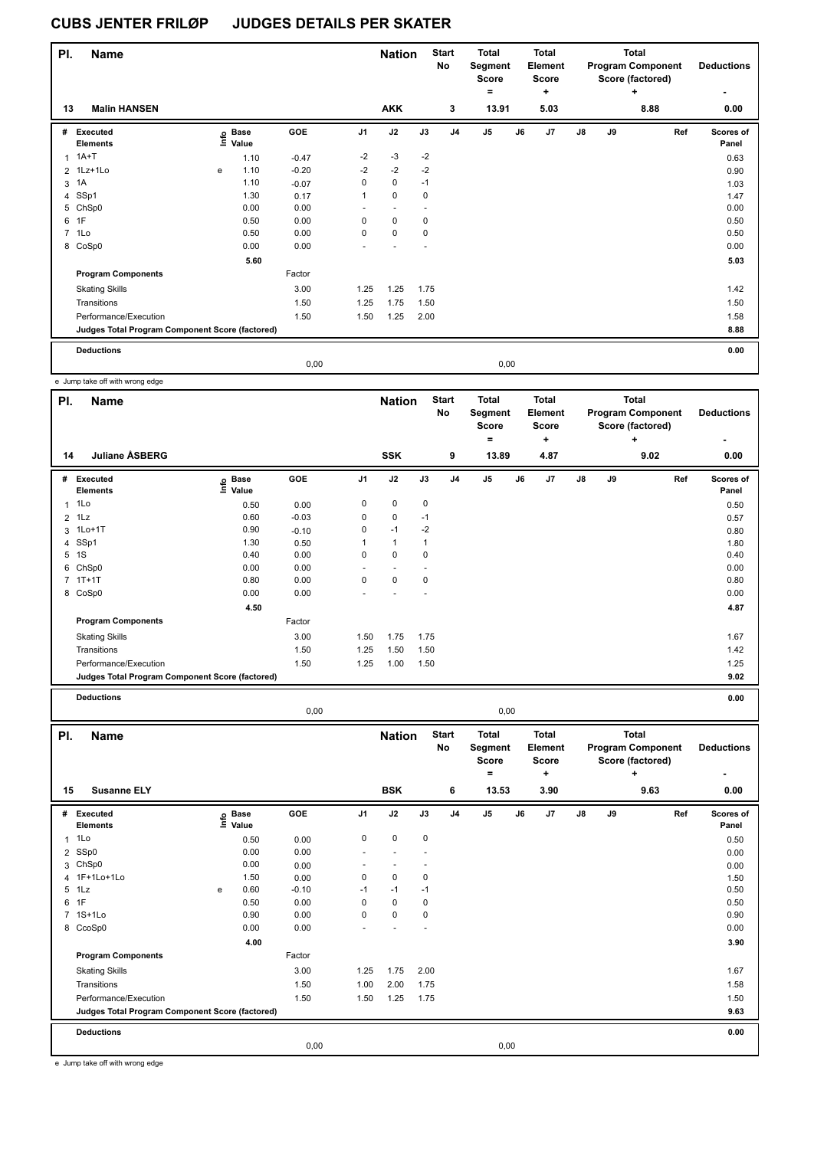| PI. | <b>Name</b>                                     |   |                            |         |                | <b>Nation</b>            |             | <b>Start</b><br>No | <b>Total</b><br>Segment<br><b>Score</b> |      | <b>Total</b><br>Element<br><b>Score</b> |               |    | Total<br><b>Program Component</b><br>Score (factored) | <b>Deductions</b>  |
|-----|-------------------------------------------------|---|----------------------------|---------|----------------|--------------------------|-------------|--------------------|-----------------------------------------|------|-----------------------------------------|---------------|----|-------------------------------------------------------|--------------------|
| 13  | <b>Malin HANSEN</b>                             |   |                            |         |                | <b>AKK</b>               |             | 3                  | $\equiv$<br>13.91                       |      | ٠<br>5.03                               |               |    | ٠<br>8.88                                             | 0.00               |
| #   | Executed<br><b>Elements</b>                     |   | e Base<br>E Value<br>Value | GOE     | J <sub>1</sub> | J2                       | J3          | J <sub>4</sub>     | J <sub>5</sub>                          | J6   | J <sub>7</sub>                          | $\mathsf{J}8$ | J9 | Ref                                                   | Scores of<br>Panel |
| 1   | $1A+T$                                          |   | 1.10                       | $-0.47$ | $-2$           | $-3$                     | $-2$        |                    |                                         |      |                                         |               |    |                                                       | 0.63               |
|     | 2 1Lz+1Lo                                       | e | 1.10                       | $-0.20$ | $-2$           | $-2$                     | $-2$        |                    |                                         |      |                                         |               |    |                                                       | 0.90               |
|     | 3 1A                                            |   | 1.10                       | $-0.07$ | 0              | $\mathbf 0$              | $-1$        |                    |                                         |      |                                         |               |    |                                                       | 1.03               |
|     | 4 SSp1                                          |   | 1.30                       | 0.17    | 1              | $\mathbf 0$              | $\mathbf 0$ |                    |                                         |      |                                         |               |    |                                                       | 1.47               |
|     | 5 ChSp0                                         |   | 0.00                       | 0.00    |                | $\overline{\phantom{a}}$ |             |                    |                                         |      |                                         |               |    |                                                       | 0.00               |
| 6   | 1F                                              |   | 0.50                       | 0.00    | 0              | $\mathbf 0$              | $\mathbf 0$ |                    |                                         |      |                                         |               |    |                                                       | 0.50               |
|     | 7 1Lo                                           |   | 0.50                       | 0.00    | 0              | $\mathbf 0$              | $\mathbf 0$ |                    |                                         |      |                                         |               |    |                                                       | 0.50               |
|     | 8 CoSp0                                         |   | 0.00                       | 0.00    |                |                          |             |                    |                                         |      |                                         |               |    |                                                       | 0.00               |
|     |                                                 |   | 5.60                       |         |                |                          |             |                    |                                         |      |                                         |               |    |                                                       | 5.03               |
|     | <b>Program Components</b>                       |   |                            | Factor  |                |                          |             |                    |                                         |      |                                         |               |    |                                                       |                    |
|     | <b>Skating Skills</b>                           |   |                            | 3.00    | 1.25           | 1.25                     | 1.75        |                    |                                         |      |                                         |               |    |                                                       | 1.42               |
|     | Transitions                                     |   |                            | 1.50    | 1.25           | 1.75                     | 1.50        |                    |                                         |      |                                         |               |    |                                                       | 1.50               |
|     | Performance/Execution                           |   |                            | 1.50    | 1.50           | 1.25                     | 2.00        |                    |                                         |      |                                         |               |    |                                                       | 1.58               |
|     | Judges Total Program Component Score (factored) |   |                            |         |                |                          |             |                    |                                         |      |                                         |               |    |                                                       | 8.88               |
|     | <b>Deductions</b>                               |   |                            |         |                |                          |             |                    |                                         |      |                                         |               |    |                                                       | 0.00               |
|     |                                                 |   |                            | 0,00    |                |                          |             |                    |                                         | 0,00 |                                         |               |    |                                                       |                    |

e Jump take off with wrong edge

| PI.            | Name                                            |                                       |            |                | <b>Nation</b> |      | <b>Start</b><br>No | <b>Total</b><br>Segment<br><b>Score</b> |    | <b>Total</b><br>Element<br><b>Score</b> |               | <b>Total</b><br><b>Program Component</b><br>Score (factored)<br>٠ |      | <b>Deductions</b>         |
|----------------|-------------------------------------------------|---------------------------------------|------------|----------------|---------------|------|--------------------|-----------------------------------------|----|-----------------------------------------|---------------|-------------------------------------------------------------------|------|---------------------------|
| 14             | <b>Juliane ASBERG</b>                           |                                       |            |                | <b>SSK</b>    |      | 9                  | ۰<br>13.89                              |    | ٠<br>4.87                               |               |                                                                   | 9.02 | ٠<br>0.00                 |
| #              | Executed<br><b>Elements</b>                     | <b>Base</b><br>$\frac{1}{2}$<br>Value | <b>GOE</b> | J <sub>1</sub> | J2            | J3   | J <sub>4</sub>     | J <sub>5</sub>                          | J6 | J7                                      | $\mathsf{J}8$ | J9                                                                | Ref  | <b>Scores of</b><br>Panel |
| 1              | 1Lo                                             | 0.50                                  | 0.00       | 0              | $\mathbf 0$   | 0    |                    |                                         |    |                                         |               |                                                                   |      | 0.50                      |
| $\overline{2}$ | 1Lz                                             | 0.60                                  | $-0.03$    | 0              | 0             | $-1$ |                    |                                         |    |                                         |               |                                                                   |      | 0.57                      |
| 3              | $1Lo+1T$                                        | 0.90                                  | $-0.10$    | 0              | $-1$          | $-2$ |                    |                                         |    |                                         |               |                                                                   |      | 0.80                      |
|                | 4 SSp1                                          | 1.30                                  | 0.50       | 1              | $\mathbf{1}$  | 1    |                    |                                         |    |                                         |               |                                                                   |      | 1.80                      |
| 5              | 1S                                              | 0.40                                  | 0.00       | 0              | $\mathbf 0$   | 0    |                    |                                         |    |                                         |               |                                                                   |      | 0.40                      |
| 6              | ChSp0                                           | 0.00                                  | 0.00       |                |               |      |                    |                                         |    |                                         |               |                                                                   |      | 0.00                      |
|                | $7.1T+1T$                                       | 0.80                                  | 0.00       | 0              | $\mathbf 0$   | 0    |                    |                                         |    |                                         |               |                                                                   |      | 0.80                      |
|                | 8 CoSp0                                         | 0.00                                  | 0.00       |                |               |      |                    |                                         |    |                                         |               |                                                                   |      | 0.00                      |
|                |                                                 | 4.50                                  |            |                |               |      |                    |                                         |    |                                         |               |                                                                   |      | 4.87                      |
|                | <b>Program Components</b>                       |                                       | Factor     |                |               |      |                    |                                         |    |                                         |               |                                                                   |      |                           |
|                | <b>Skating Skills</b>                           |                                       | 3.00       | 1.50           | 1.75          | 1.75 |                    |                                         |    |                                         |               |                                                                   |      | 1.67                      |
|                | Transitions                                     |                                       | 1.50       | 1.25           | 1.50          | 1.50 |                    |                                         |    |                                         |               |                                                                   |      | 1.42                      |
|                | Performance/Execution                           |                                       | 1.50       | 1.25           | 1.00          | 1.50 |                    |                                         |    |                                         |               |                                                                   |      | 1.25                      |
|                | Judges Total Program Component Score (factored) |                                       |            |                |               |      |                    |                                         |    |                                         |               |                                                                   |      | 9.02                      |
|                |                                                 |                                       |            |                |               |      |                    |                                         |    |                                         |               |                                                                   |      |                           |

**Deductions 0.00**

0,00 0,00

| PI.            | <b>Name</b>                                     |   |                            |            |                | <b>Nation</b> |             | <b>Start</b><br>No | <b>Total</b><br>Segment<br>Score |    | <b>Total</b><br>Element<br><b>Score</b> |               |    | <b>Total</b><br><b>Program Component</b><br>Score (factored) | <b>Deductions</b>  |
|----------------|-------------------------------------------------|---|----------------------------|------------|----------------|---------------|-------------|--------------------|----------------------------------|----|-----------------------------------------|---------------|----|--------------------------------------------------------------|--------------------|
|                |                                                 |   |                            |            |                |               |             |                    | $=$                              |    | +                                       |               |    | ÷                                                            | ۰                  |
| 15             | <b>Susanne ELY</b>                              |   |                            |            |                | <b>BSK</b>    |             | 6                  | 13.53                            |    | 3.90                                    |               |    | 9.63                                                         | 0.00               |
| #              | <b>Executed</b><br><b>Elements</b>              |   | e Base<br>E Value<br>Value | <b>GOE</b> | J <sub>1</sub> | J2            | J3          | J <sub>4</sub>     | J <sub>5</sub>                   | J6 | J <sub>7</sub>                          | $\mathsf{J}8$ | J9 | Ref                                                          | Scores of<br>Panel |
| $\mathbf{1}$   | 1Lo                                             |   | 0.50                       | 0.00       | $\mathbf 0$    | $\mathbf 0$   | $\mathbf 0$ |                    |                                  |    |                                         |               |    |                                                              | 0.50               |
| $\overline{2}$ | SSp0                                            |   | 0.00                       | 0.00       | ٠              |               |             |                    |                                  |    |                                         |               |    |                                                              | 0.00               |
|                | 3 ChSp0                                         |   | 0.00                       | 0.00       |                |               |             |                    |                                  |    |                                         |               |    |                                                              | 0.00               |
|                | 4 1F+1Lo+1Lo                                    |   | 1.50                       | 0.00       | 0              | 0             | 0           |                    |                                  |    |                                         |               |    |                                                              | 1.50               |
| 5              | 1Lz                                             | e | 0.60                       | $-0.10$    | $-1$           | $-1$          | $-1$        |                    |                                  |    |                                         |               |    |                                                              | 0.50               |
| 6              | 1F                                              |   | 0.50                       | 0.00       | 0              | $\mathbf 0$   | 0           |                    |                                  |    |                                         |               |    |                                                              | 0.50               |
| $\overline{7}$ | $1S+1Lo$                                        |   | 0.90                       | 0.00       | 0              | $\mathbf 0$   | 0           |                    |                                  |    |                                         |               |    |                                                              | 0.90               |
|                | 8 CcoSp0                                        |   | 0.00                       | 0.00       |                |               |             |                    |                                  |    |                                         |               |    |                                                              | 0.00               |
|                |                                                 |   | 4.00                       |            |                |               |             |                    |                                  |    |                                         |               |    |                                                              | 3.90               |
|                | <b>Program Components</b>                       |   |                            | Factor     |                |               |             |                    |                                  |    |                                         |               |    |                                                              |                    |
|                | <b>Skating Skills</b>                           |   |                            | 3.00       | 1.25           | 1.75          | 2.00        |                    |                                  |    |                                         |               |    |                                                              | 1.67               |
|                | Transitions                                     |   |                            | 1.50       | 1.00           | 2.00          | 1.75        |                    |                                  |    |                                         |               |    |                                                              | 1.58               |
|                | Performance/Execution                           |   |                            | 1.50       | 1.50           | 1.25          | 1.75        |                    |                                  |    |                                         |               |    |                                                              | 1.50               |
|                | Judges Total Program Component Score (factored) |   |                            |            |                |               |             |                    |                                  |    |                                         |               |    |                                                              | 9.63               |
|                | <b>Deductions</b>                               |   |                            |            |                |               |             |                    |                                  |    |                                         |               |    |                                                              | 0.00               |
|                |                                                 |   |                            | 0,00       |                |               |             |                    | 0,00                             |    |                                         |               |    |                                                              |                    |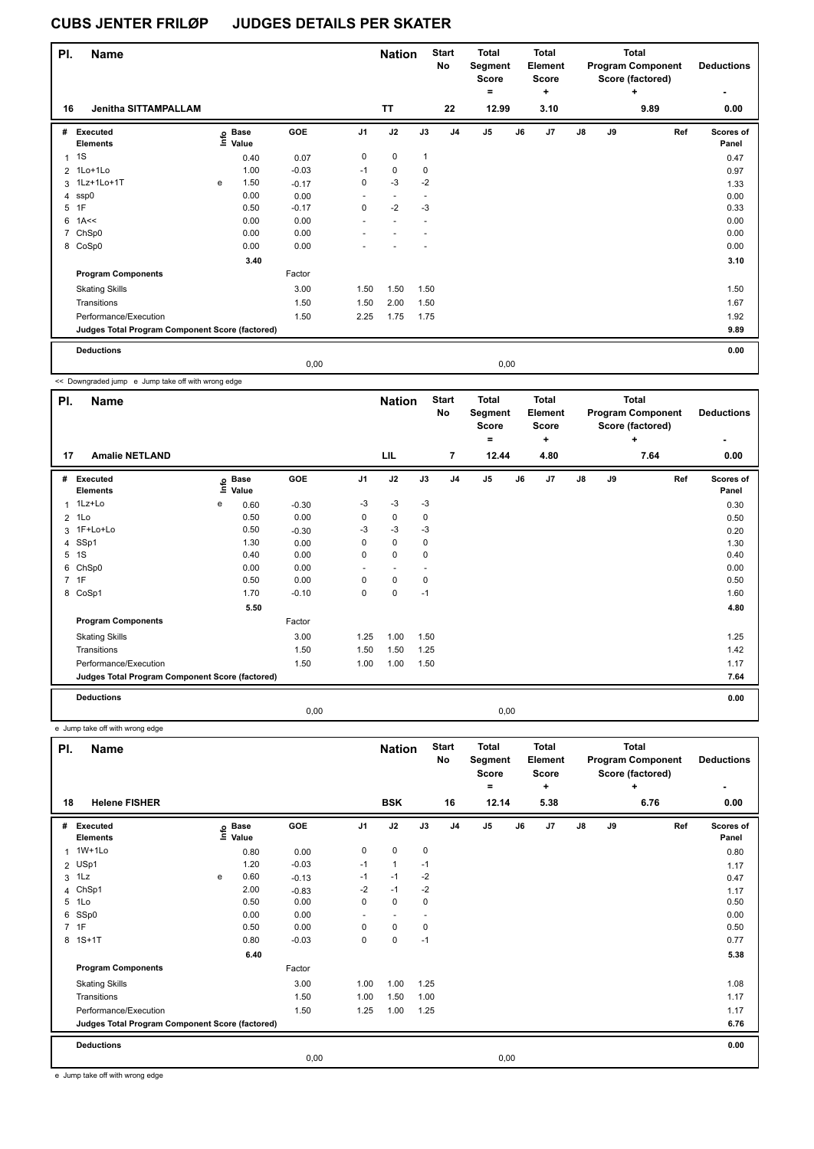| PI. | <b>Name</b>                                     |   |                            |         |                          | <b>Nation</b>            |              | <b>Start</b><br>No | <b>Total</b><br>Segment<br><b>Score</b><br>$\equiv$ |      | <b>Total</b><br>Element<br>Score<br>٠ |               |    | <b>Total</b><br><b>Program Component</b><br>Score (factored)<br>٠ | <b>Deductions</b>         |
|-----|-------------------------------------------------|---|----------------------------|---------|--------------------------|--------------------------|--------------|--------------------|-----------------------------------------------------|------|---------------------------------------|---------------|----|-------------------------------------------------------------------|---------------------------|
| 16  | <b>Jenitha SITTAMPALLAM</b>                     |   |                            |         |                          | <b>TT</b>                |              | 22                 | 12.99                                               |      | 3.10                                  |               |    | 9.89                                                              | ۰<br>0.00                 |
| #   | Executed<br><b>Elements</b>                     |   | e Base<br>E Value<br>Value | GOE     | J <sub>1</sub>           | J2                       | J3           | J <sub>4</sub>     | J <sub>5</sub>                                      | J6   | J <sub>7</sub>                        | $\mathsf{J}8$ | J9 | Ref                                                               | <b>Scores of</b><br>Panel |
| 1   | 1S                                              |   | 0.40                       | 0.07    | 0                        | $\mathbf 0$              | $\mathbf{1}$ |                    |                                                     |      |                                       |               |    |                                                                   | 0.47                      |
|     | 2 1Lo+1Lo                                       |   | 1.00                       | $-0.03$ | $-1$                     | $\mathbf 0$              | 0            |                    |                                                     |      |                                       |               |    |                                                                   | 0.97                      |
|     | 3 1Lz+1Lo+1T                                    | e | 1.50                       | $-0.17$ | $\mathbf 0$              | $-3$                     | $-2$         |                    |                                                     |      |                                       |               |    |                                                                   | 1.33                      |
|     | 4 ssp0                                          |   | 0.00                       | 0.00    | $\overline{\phantom{a}}$ | $\overline{\phantom{a}}$ |              |                    |                                                     |      |                                       |               |    |                                                                   | 0.00                      |
| 5   | 1F                                              |   | 0.50                       | $-0.17$ | 0                        | $-2$                     | $-3$         |                    |                                                     |      |                                       |               |    |                                                                   | 0.33                      |
| 6   | 1A<<                                            |   | 0.00                       | 0.00    |                          |                          |              |                    |                                                     |      |                                       |               |    |                                                                   | 0.00                      |
|     | 7 ChSp0                                         |   | 0.00                       | 0.00    |                          |                          |              |                    |                                                     |      |                                       |               |    |                                                                   | 0.00                      |
|     | 8 CoSp0                                         |   | 0.00                       | 0.00    |                          |                          |              |                    |                                                     |      |                                       |               |    |                                                                   | 0.00                      |
|     |                                                 |   | 3.40                       |         |                          |                          |              |                    |                                                     |      |                                       |               |    |                                                                   | 3.10                      |
|     | <b>Program Components</b>                       |   |                            | Factor  |                          |                          |              |                    |                                                     |      |                                       |               |    |                                                                   |                           |
|     | <b>Skating Skills</b>                           |   |                            | 3.00    | 1.50                     | 1.50                     | 1.50         |                    |                                                     |      |                                       |               |    |                                                                   | 1.50                      |
|     | Transitions                                     |   |                            | 1.50    | 1.50                     | 2.00                     | 1.50         |                    |                                                     |      |                                       |               |    |                                                                   | 1.67                      |
|     | Performance/Execution                           |   |                            | 1.50    | 2.25                     | 1.75                     | 1.75         |                    |                                                     |      |                                       |               |    |                                                                   | 1.92                      |
|     | Judges Total Program Component Score (factored) |   |                            |         |                          |                          |              |                    |                                                     |      |                                       |               |    |                                                                   | 9.89                      |
|     | <b>Deductions</b>                               |   |                            |         |                          |                          |              |                    |                                                     |      |                                       |               |    |                                                                   | 0.00                      |
|     |                                                 |   |                            | 0,00    |                          |                          |              |                    |                                                     | 0,00 |                                       |               |    |                                                                   |                           |

<< Downgraded jump e Jump take off with wrong edge

| PI.            | <b>Name</b>                                     |   |                            |            |                | <b>Nation</b>            |             | <b>Start</b><br><b>No</b> | Total<br>Segment<br><b>Score</b><br>= |    | <b>Total</b><br>Element<br><b>Score</b><br>٠ |    |    | Total<br><b>Program Component</b><br>Score (factored)<br>÷ | <b>Deductions</b>  |
|----------------|-------------------------------------------------|---|----------------------------|------------|----------------|--------------------------|-------------|---------------------------|---------------------------------------|----|----------------------------------------------|----|----|------------------------------------------------------------|--------------------|
| 17             | <b>Amalie NETLAND</b>                           |   |                            |            |                | LIL                      |             | 7                         | 12.44                                 |    | 4.80                                         |    |    | 7.64                                                       | 0.00               |
| #              | Executed<br><b>Elements</b>                     |   | e Base<br>E Value<br>Value | <b>GOE</b> | J <sub>1</sub> | J2                       | J3          | J <sub>4</sub>            | J5                                    | J6 | J7                                           | J8 | J9 | Ref                                                        | Scores of<br>Panel |
| 1              | 1Lz+Lo                                          | e | 0.60                       | $-0.30$    | $-3$           | $-3$                     | $-3$        |                           |                                       |    |                                              |    |    |                                                            | 0.30               |
| $\overline{2}$ | 1Lo                                             |   | 0.50                       | 0.00       | 0              | $\mathbf 0$              | 0           |                           |                                       |    |                                              |    |    |                                                            | 0.50               |
|                | 3 1F+Lo+Lo                                      |   | 0.50                       | $-0.30$    | -3             | $-3$                     | $-3$        |                           |                                       |    |                                              |    |    |                                                            | 0.20               |
|                | 4 SSp1                                          |   | 1.30                       | 0.00       | 0              | $\mathbf 0$              | 0           |                           |                                       |    |                                              |    |    |                                                            | 1.30               |
|                | 5 1S                                            |   | 0.40                       | 0.00       | 0              | $\mathbf 0$              | $\mathbf 0$ |                           |                                       |    |                                              |    |    |                                                            | 0.40               |
| 6              | ChSp0                                           |   | 0.00                       | 0.00       | ٠              | $\overline{\phantom{a}}$ |             |                           |                                       |    |                                              |    |    |                                                            | 0.00               |
|                | 7 1F                                            |   | 0.50                       | 0.00       | 0              | $\mathbf 0$              | 0           |                           |                                       |    |                                              |    |    |                                                            | 0.50               |
|                | 8 CoSp1                                         |   | 1.70                       | $-0.10$    | 0              | $\mathbf 0$              | $-1$        |                           |                                       |    |                                              |    |    |                                                            | 1.60               |
|                |                                                 |   | 5.50                       |            |                |                          |             |                           |                                       |    |                                              |    |    |                                                            | 4.80               |
|                | <b>Program Components</b>                       |   |                            | Factor     |                |                          |             |                           |                                       |    |                                              |    |    |                                                            |                    |
|                | <b>Skating Skills</b>                           |   |                            | 3.00       | 1.25           | 1.00                     | 1.50        |                           |                                       |    |                                              |    |    |                                                            | 1.25               |
|                | Transitions                                     |   |                            | 1.50       | 1.50           | 1.50                     | 1.25        |                           |                                       |    |                                              |    |    |                                                            | 1.42               |
|                | Performance/Execution                           |   |                            | 1.50       | 1.00           | 1.00                     | 1.50        |                           |                                       |    |                                              |    |    |                                                            | 1.17               |
|                | Judges Total Program Component Score (factored) |   |                            |            |                |                          |             |                           |                                       |    |                                              |    |    |                                                            | 7.64               |
|                | <b>Deductions</b>                               |   |                            |            |                |                          |             |                           |                                       |    |                                              |    |    |                                                            | 0.00               |
|                |                                                 |   |                            | 0,00       |                |                          |             |                           | 0,00                                  |    |                                              |    |    |                                                            |                    |

e Jump take off with wrong edge

| PI. | <b>Name</b>                                     |      |                      |         |                | <b>Nation</b>            |                          | <b>Start</b><br>No | <b>Total</b><br>Segment<br><b>Score</b><br>٠ |      | <b>Total</b><br>Element<br><b>Score</b><br>٠ |               |    | <b>Total</b><br><b>Program Component</b><br>Score (factored)<br>÷ | <b>Deductions</b>  |
|-----|-------------------------------------------------|------|----------------------|---------|----------------|--------------------------|--------------------------|--------------------|----------------------------------------------|------|----------------------------------------------|---------------|----|-------------------------------------------------------------------|--------------------|
| 18  | <b>Helene FISHER</b>                            |      |                      |         |                | <b>BSK</b>               |                          | 16                 | 12.14                                        |      | 5.38                                         |               |    | 6.76                                                              | 0.00               |
| #   | Executed<br><b>Elements</b>                     | lnfo | <b>Base</b><br>Value | GOE     | J <sub>1</sub> | J2                       | J3                       | J <sub>4</sub>     | J <sub>5</sub>                               | J6   | J7                                           | $\mathsf{J}8$ | J9 | Ref                                                               | Scores of<br>Panel |
| 1   | 1W+1Lo                                          |      | 0.80                 | 0.00    | 0              | $\mathbf 0$              | $\mathbf 0$              |                    |                                              |      |                                              |               |    |                                                                   | 0.80               |
|     | 2 USp1                                          |      | 1.20                 | $-0.03$ | $-1$           | $\mathbf{1}$             | $-1$                     |                    |                                              |      |                                              |               |    |                                                                   | 1.17               |
| 3   | 1Lz                                             | e    | 0.60                 | $-0.13$ | $-1$           | $-1$                     | $-2$                     |                    |                                              |      |                                              |               |    |                                                                   | 0.47               |
| 4   | ChSp1                                           |      | 2.00                 | $-0.83$ | $-2$           | $-1$                     | $-2$                     |                    |                                              |      |                                              |               |    |                                                                   | 1.17               |
| 5   | 1Lo                                             |      | 0.50                 | 0.00    | 0              | $\Omega$                 | 0                        |                    |                                              |      |                                              |               |    |                                                                   | 0.50               |
| 6   | SSp0                                            |      | 0.00                 | 0.00    | ٠              | $\overline{\phantom{a}}$ | $\overline{\phantom{a}}$ |                    |                                              |      |                                              |               |    |                                                                   | 0.00               |
|     | 7 1F                                            |      | 0.50                 | 0.00    | 0              | $\mathbf 0$              | 0                        |                    |                                              |      |                                              |               |    |                                                                   | 0.50               |
| 8   | $1S+1T$                                         |      | 0.80                 | $-0.03$ | 0              | $\mathbf 0$              | $-1$                     |                    |                                              |      |                                              |               |    |                                                                   | 0.77               |
|     |                                                 |      | 6.40                 |         |                |                          |                          |                    |                                              |      |                                              |               |    |                                                                   | 5.38               |
|     | <b>Program Components</b>                       |      |                      | Factor  |                |                          |                          |                    |                                              |      |                                              |               |    |                                                                   |                    |
|     | <b>Skating Skills</b>                           |      |                      | 3.00    | 1.00           | 1.00                     | 1.25                     |                    |                                              |      |                                              |               |    |                                                                   | 1.08               |
|     | Transitions                                     |      |                      | 1.50    | 1.00           | 1.50                     | 1.00                     |                    |                                              |      |                                              |               |    |                                                                   | 1.17               |
|     | Performance/Execution                           |      |                      | 1.50    | 1.25           | 1.00                     | 1.25                     |                    |                                              |      |                                              |               |    |                                                                   | 1.17               |
|     | Judges Total Program Component Score (factored) |      |                      |         |                |                          |                          |                    |                                              |      |                                              |               |    |                                                                   | 6.76               |
|     | <b>Deductions</b>                               |      |                      |         |                |                          |                          |                    |                                              |      |                                              |               |    |                                                                   | 0.00               |
|     |                                                 |      |                      | 0,00    |                |                          |                          |                    |                                              | 0,00 |                                              |               |    |                                                                   |                    |